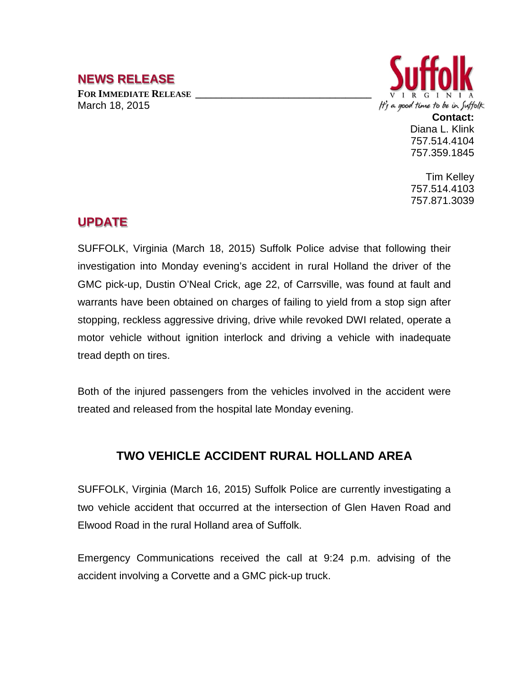## **NEWS RELEASE**

FOR **IMMEDIATE RELEASE** March 18, 2015



**Contact:** Diana L. Klink 757.514.4104 757.359.1845

Tim Kelley 757.514.4103 757.871.3039

## **UPDATE**

SUFFOLK, Virginia (March 18, 2015) Suffolk Police advise that following their investigation into Monday evening's accident in rural Holland the driver of the GMC pick-up, Dustin O'Neal Crick, age 22, of Carrsville, was found at fault and warrants have been obtained on charges of failing to yield from a stop sign after stopping, reckless aggressive driving, drive while revoked DWI related, operate a motor vehicle without ignition interlock and driving a vehicle with inadequate tread depth on tires.

Both of the injured passengers from the vehicles involved in the accident were treated and released from the hospital late Monday evening.

## **TWO VEHICLE ACCIDENT RURAL HOLLAND AREA**

SUFFOLK, Virginia (March 16, 2015) Suffolk Police are currently investigating a two vehicle accident that occurred at the intersection of Glen Haven Road and Elwood Road in the rural Holland area of Suffolk.

Emergency Communications received the call at 9:24 p.m. advising of the accident involving a Corvette and a GMC pick-up truck.